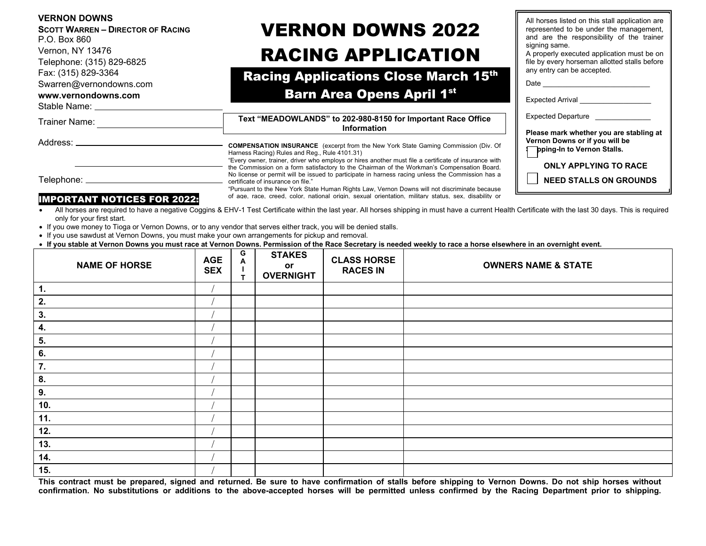| <b>SCOTT WARREN - DIRECTOR OF RACING</b><br>P.O. Box 860 | <b>VERNON DOWNS 2022</b>                                                                                                                                                                                                                                                                                                                         | , a noisse noted on time stan apprication are<br>represented to be under the management,<br>and are the responsibility of the trainer                         |  |  |
|----------------------------------------------------------|--------------------------------------------------------------------------------------------------------------------------------------------------------------------------------------------------------------------------------------------------------------------------------------------------------------------------------------------------|---------------------------------------------------------------------------------------------------------------------------------------------------------------|--|--|
| Vernon, NY 13476<br>Telephone: (315) 829-6825            | <b>RACING APPLICATION</b>                                                                                                                                                                                                                                                                                                                        | signing same.<br>A properly executed application must be on<br>file by every horseman allotted stalls before                                                  |  |  |
| Fax: (315) 829-3364<br>Swarren@vernondowns.com           | <b>Racing Applications Close March 15th</b>                                                                                                                                                                                                                                                                                                      | any entry can be accepted.                                                                                                                                    |  |  |
| www.vernondowns.com<br>Stable Name: Stable Name:         | <b>Barn Area Opens April 1st</b>                                                                                                                                                                                                                                                                                                                 | Expected Arrival ___________________                                                                                                                          |  |  |
| Trainer Name:                                            | Text "MEADOWLANDS" to 202-980-8150 for Important Race Office<br><b>Information</b>                                                                                                                                                                                                                                                               | Expected Departure<br>Please mark whether you are stabling at<br>Vernon Downs or if you will be<br>pping-In to Vernon Stalls.<br><b>ONLY APPLYING TO RACE</b> |  |  |
| Address: _______                                         | <b>COMPENSATION INSURANCE</b> (excerpt from the New York State Gaming Commission (Div. Of<br>Harness Racing) Rules and Reg., Rule 4101.31)<br>"Every owner, trainer, driver who employs or hires another must file a certificate of insurance with<br>the Commission on a form satisfactory to the Chairman of the Workman's Compensation Board. |                                                                                                                                                               |  |  |
| Telephone: _________________                             | No license or permit will be issued to participate in harness racing unless the Commission has a<br>certificate of insurance on file."<br>"Pursuant to the New York State Human Rights Law, Vernon Downs will not discriminate because                                                                                                           | <b>NEED STALLS ON GROUNDS</b>                                                                                                                                 |  |  |
| <b>IMPORTANT NOTICES FOR 2022:</b>                       | of age, race, creed, color, national origin, sexual orientation, military status, sex, disability or                                                                                                                                                                                                                                             |                                                                                                                                                               |  |  |
| only for your first start.                               | All horses are required to have a negative Coggins & EHV-1 Test Certificate within the last year. All horses shipping in must have a current Health Certificate with the last 30 days. This is required                                                                                                                                          |                                                                                                                                                               |  |  |

All horses listed on this stall application are

Ш.

- If you owe money to Tioga or Vernon Downs, or to any vendor that serves either track, you will be denied stalls.
- If you use sawdust at Vernon Downs, you must make your own arrangements for pickup and removal.

**VERNON DOWNS**

• **If you stable at Vernon Downs you must race at Vernon Downs. Permission of the Race Secretary is needed weekly to race a horse elsewhere in an overnight event.**

| <b>NAME OF HORSE</b> | <b>AGE</b><br><b>SEX</b> | G<br>A<br>$\mathbf \tau$ | <b>STAKES</b><br>or<br><b>OVERNIGHT</b> | <b>CLASS HORSE</b><br><b>RACES IN</b> | <b>OWNERS NAME &amp; STATE</b> |
|----------------------|--------------------------|--------------------------|-----------------------------------------|---------------------------------------|--------------------------------|
| 1.                   |                          |                          |                                         |                                       |                                |
| 2.                   |                          |                          |                                         |                                       |                                |
| 3.                   |                          |                          |                                         |                                       |                                |
| 4.                   |                          |                          |                                         |                                       |                                |
| 5.                   |                          |                          |                                         |                                       |                                |
| 6.                   |                          |                          |                                         |                                       |                                |
| 7.                   |                          |                          |                                         |                                       |                                |
| 8.                   |                          |                          |                                         |                                       |                                |
| 9.                   |                          |                          |                                         |                                       |                                |
| 10.                  |                          |                          |                                         |                                       |                                |
| 11.                  |                          |                          |                                         |                                       |                                |
| 12.                  |                          |                          |                                         |                                       |                                |
| 13.                  |                          |                          |                                         |                                       |                                |
| 14.                  |                          |                          |                                         |                                       |                                |
| 15.                  |                          |                          |                                         |                                       |                                |

**This contract must be prepared, signed and returned. Be sure to have confirmation of stalls before shipping to Vernon Downs. Do not ship horses without confirmation. No substitutions or additions to the above-accepted horses will be permitted unless confirmed by the Racing Department prior to shipping.**